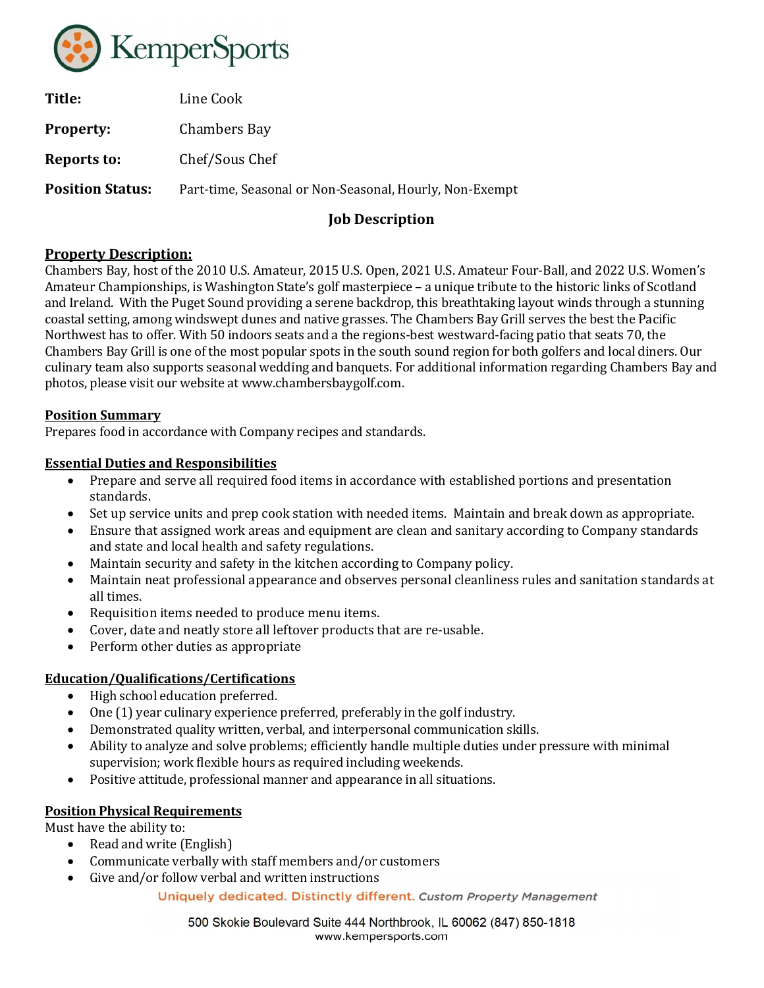

| Line Cook                                               |
|---------------------------------------------------------|
| Chambers Bay                                            |
| Chef/Sous Chef                                          |
| Part-time, Seasonal or Non-Seasonal, Hourly, Non-Exempt |
|                                                         |

# Job Description

# Property Description:

Chambers Bay, host of the 2010 U.S. Amateur, 2015 U.S. Open, 2021 U.S. Amateur Four-Ball, and 2022 U.S. Women's Amateur Championships, is Washington State's golf masterpiece – a unique tribute to the historic links of Scotland and Ireland. With the Puget Sound providing a serene backdrop, this breathtaking layout winds through a stunning coastal setting, among windswept dunes and native grasses. The Chambers Bay Grill serves the best the Pacific Northwest has to offer. With 50 indoors seats and a the regions-best westward-facing patio that seats 70, the Chambers Bay Grill is one of the most popular spots in the south sound region for both golfers and local diners. Our culinary team also supports seasonal wedding and banquets. For additional information regarding Chambers Bay and photos, please visit our website at www.chambersbaygolf.com.

### Position Summary

Prepares food in accordance with Company recipes and standards.

### Essential Duties and Responsibilities

- Prepare and serve all required food items in accordance with established portions and presentation standards.
- Set up service units and prep cook station with needed items. Maintain and break down as appropriate.
- Ensure that assigned work areas and equipment are clean and sanitary according to Company standards and state and local health and safety regulations.
- Maintain security and safety in the kitchen according to Company policy.
- Maintain neat professional appearance and observes personal cleanliness rules and sanitation standards at all times.
- Requisition items needed to produce menu items.
- Cover, date and neatly store all leftover products that are re-usable.
- Perform other duties as appropriate

# Education/Qualifications/Certifications

- High school education preferred.
- One (1) year culinary experience preferred, preferably in the golf industry.
- Demonstrated quality written, verbal, and interpersonal communication skills.
- Ability to analyze and solve problems; efficiently handle multiple duties under pressure with minimal supervision; work flexible hours as required including weekends.
- Positive attitude, professional manner and appearance in all situations.

#### Position Physical Requirements

Must have the ability to:

- Read and write (English)
- Communicate verbally with staff members and/or customers
- Give and/or follow verbal and written instructions

Uniquely dedicated. Distinctly different. Custom Property Management

500 Skokie Boulevard Suite 444 Northbrook, IL 60062 (847) 850-1818 www.kempersports.com